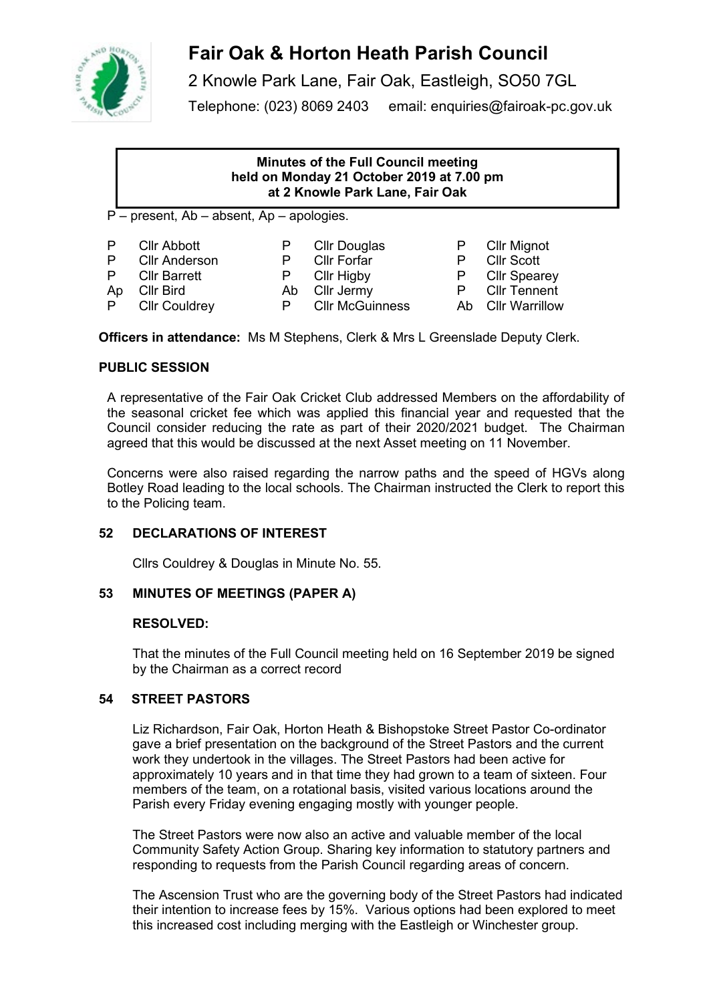

# **Fair Oak & Horton Heath Parish Council**

2 Knowle Park Lane, Fair Oak, Eastleigh, SO50 7GL Telephone: (023) 8069 2403 email: enquiries@fairoak-pc.gov.uk

## **Minutes of the Full Council meeting held on Monday 21 October 2019 at 7.00 pm at 2 Knowle Park Lane, Fair Oak**

P – present, Ab – absent, Ap – apologies.

| P | <b>Cllr Abbott</b>       |
|---|--------------------------|
| D | $\bigcap_{n=1}^{\infty}$ |

- P Clir Douglas P Clir Mignot<br>P Clir Forfar P Clir Scott P CIIr Anderson P CIIr Forfar P CIIr Scott<br>P CIIr Barrett P CIIr Higby P CIIr Spear P Cllr Barrett P Cllr Higby P Cllr Spearey
- 
- 
- Ap Cllr Bird **Ab Cllr Jermy** P Cllr Tennent<br>
P Cllr Couldrey P Cllr McGuinness Ab Cllr Warrillow Ab Cllr Warrillow

**Officers in attendance:** Ms M Stephens, Clerk & Mrs L Greenslade Deputy Clerk.

# **PUBLIC SESSION**

A representative of the Fair Oak Cricket Club addressed Members on the affordability of the seasonal cricket fee which was applied this financial year and requested that the Council consider reducing the rate as part of their 2020/2021 budget. The Chairman agreed that this would be discussed at the next Asset meeting on 11 November.

Concerns were also raised regarding the narrow paths and the speed of HGVs along Botley Road leading to the local schools. The Chairman instructed the Clerk to report this to the Policing team.

# **52 DECLARATIONS OF INTEREST**

Cllrs Couldrey & Douglas in Minute No. 55.

# **53 MINUTES OF MEETINGS (PAPER A)**

# **RESOLVED:**

That the minutes of the Full Council meeting held on 16 September 2019 be signed by the Chairman as a correct record

# **54 STREET PASTORS**

Liz Richardson, Fair Oak, Horton Heath & Bishopstoke Street Pastor Co-ordinator gave a brief presentation on the background of the Street Pastors and the current work they undertook in the villages. The Street Pastors had been active for approximately 10 years and in that time they had grown to a team of sixteen. Four members of the team, on a rotational basis, visited various locations around the Parish every Friday evening engaging mostly with younger people.

The Street Pastors were now also an active and valuable member of the local Community Safety Action Group. Sharing key information to statutory partners and responding to requests from the Parish Council regarding areas of concern.

The Ascension Trust who are the governing body of the Street Pastors had indicated their intention to increase fees by 15%. Various options had been explored to meet this increased cost including merging with the Eastleigh or Winchester group.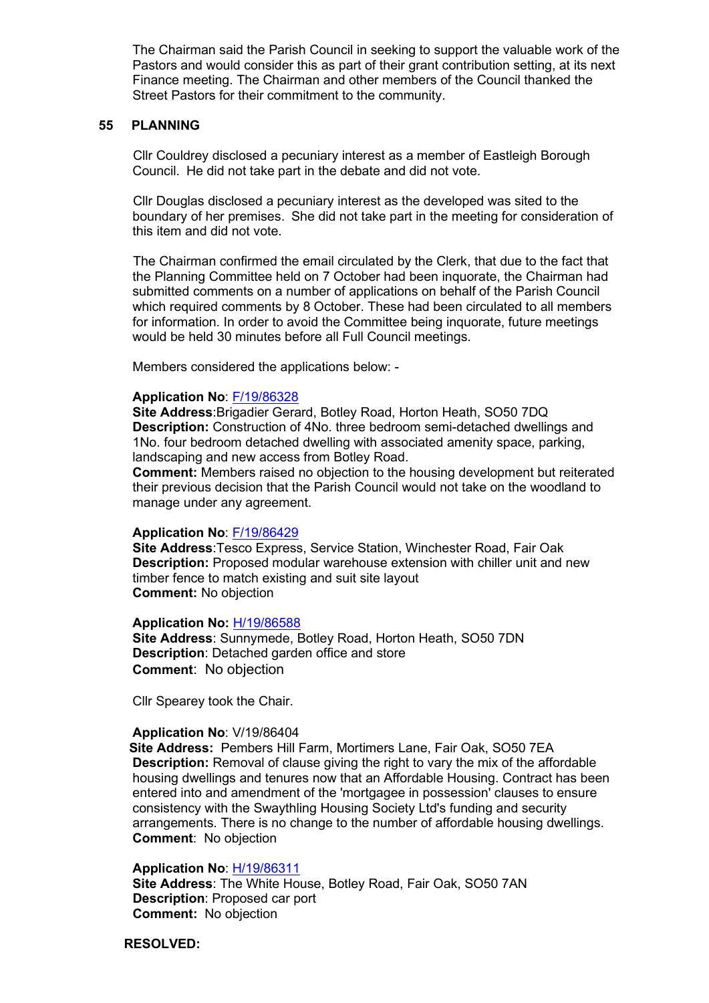The Chairman said the Parish Council in seeking to support the valuable work of the Pastors and would consider this as part of their grant contribution setting, at its next Finance meeting. The Chairman and other members of the Council thanked the Street Pastors for their commitment to the community.

## **55 PLANNING**

Cllr Couldrey disclosed a pecuniary interest as a member of Eastleigh Borough Council. He did not take part in the debate and did not vote.

Cllr Douglas disclosed a pecuniary interest as the developed was sited to the boundary of her premises. She did not take part in the meeting for consideration of this item and did not vote.

The Chairman confirmed the email circulated by the Clerk, that due to the fact that the Planning Committee held on 7 October had been inquorate, the Chairman had submitted comments on a number of applications on behalf of the Parish Council which required comments by 8 October. These had been circulated to all members for information. In order to avoid the Committee being inquorate, future meetings would be held 30 minutes before all Full Council meetings.

Members considered the applications below: -

## **Application No**: [F/19/86328](https://planning.eastleigh.gov.uk/s/papplication/a1M4J000000DtW6)

**Site Address**:Brigadier Gerard, Botley Road, Horton Heath, SO50 7DQ **Description:** Construction of 4No. three bedroom semi-detached dwellings and 1No. four bedroom detached dwelling with associated amenity space, parking, landscaping and new access from Botley Road.

**Comment:** Members raised no objection to the housing development but reiterated their previous decision that the Parish Council would not take on the woodland to manage under any agreement.

## **Application No**: [F/19/86429](https://planning.eastleigh.gov.uk/s/papplication/a1M4J000000cwHb)

**Site Address**:Tesco Express, Service Station, Winchester Road, Fair Oak **Description:** Proposed modular warehouse extension with chiller unit and new timber fence to match existing and suit site layout **Comment:** No objection

## **Application No:** [H/19/86588](https://planning.eastleigh.gov.uk/s/papplication/a1M4J000000d1zJ)

**Site Address**: Sunnymede, Botley Road, Horton Heath, SO50 7DN **Description**: Detached garden office and store **Comment**: No objection

Cllr Spearey took the Chair.

## **Application No**: V/19/86404

 **Site Address:** Pembers Hill Farm, Mortimers Lane, Fair Oak, SO50 7EA **Description:** Removal of clause giving the right to vary the mix of the affordable housing dwellings and tenures now that an Affordable Housing. Contract has been entered into and amendment of the 'mortgagee in possession' clauses to ensure consistency with the Swaythling Housing Society Ltd's funding and security arrangements. There is no change to the number of affordable housing dwellings. **Comment**: No objection

## **Application No**: [H/19/86311](https://planning.eastleigh.gov.uk/s/papplication/a1M4J000000DspV)

**Site Address**: The White House, Botley Road, Fair Oak, SO50 7AN  **Description**: Proposed car port **Comment:** No objection

**RESOLVED:**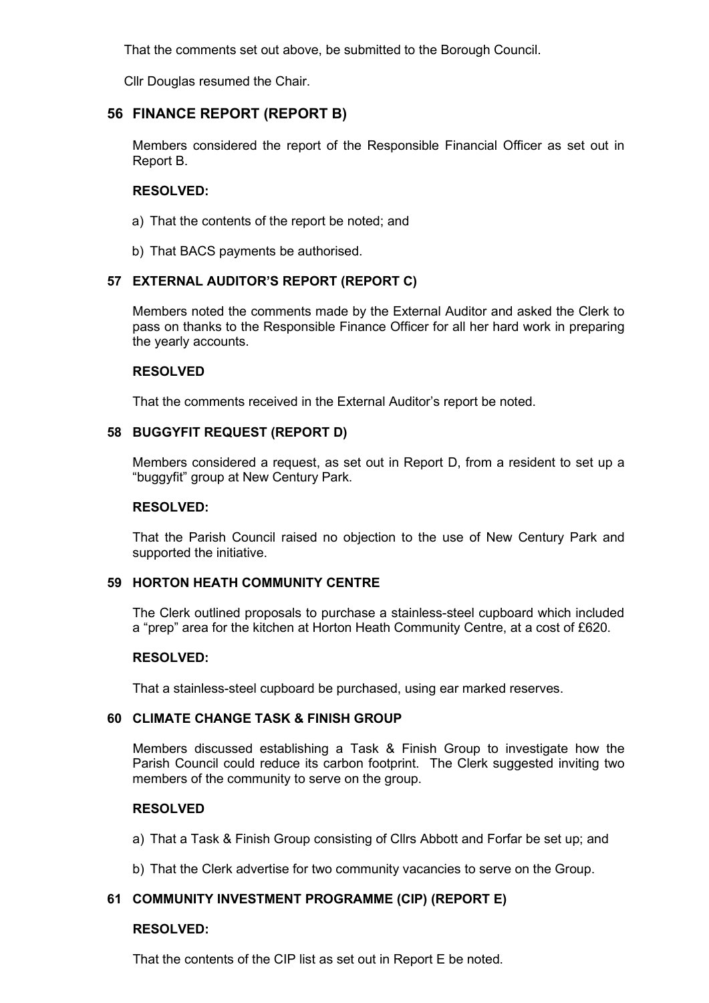That the comments set out above, be submitted to the Borough Council.

Cllr Douglas resumed the Chair.

## **56 FINANCE REPORT (REPORT B)**

Members considered the report of the Responsible Financial Officer as set out in Report B.

## **RESOLVED:**

- a) That the contents of the report be noted; and
- b) That BACS payments be authorised.

## **57 EXTERNAL AUDITOR'S REPORT (REPORT C)**

Members noted the comments made by the External Auditor and asked the Clerk to pass on thanks to the Responsible Finance Officer for all her hard work in preparing the yearly accounts.

## **RESOLVED**

That the comments received in the External Auditor's report be noted.

## **58 BUGGYFIT REQUEST (REPORT D)**

Members considered a request, as set out in Report D, from a resident to set up a "buggyfit" group at New Century Park.

## **RESOLVED:**

That the Parish Council raised no objection to the use of New Century Park and supported the initiative.

## **59 HORTON HEATH COMMUNITY CENTRE**

The Clerk outlined proposals to purchase a stainless-steel cupboard which included a "prep" area for the kitchen at Horton Heath Community Centre, at a cost of £620.

## **RESOLVED:**

That a stainless-steel cupboard be purchased, using ear marked reserves.

## **60 CLIMATE CHANGE TASK & FINISH GROUP**

Members discussed establishing a Task & Finish Group to investigate how the Parish Council could reduce its carbon footprint. The Clerk suggested inviting two members of the community to serve on the group.

## **RESOLVED**

- a) That a Task & Finish Group consisting of Cllrs Abbott and Forfar be set up; and
- b) That the Clerk advertise for two community vacancies to serve on the Group.

## **61 COMMUNITY INVESTMENT PROGRAMME (CIP) (REPORT E)**

## **RESOLVED:**

That the contents of the CIP list as set out in Report E be noted.